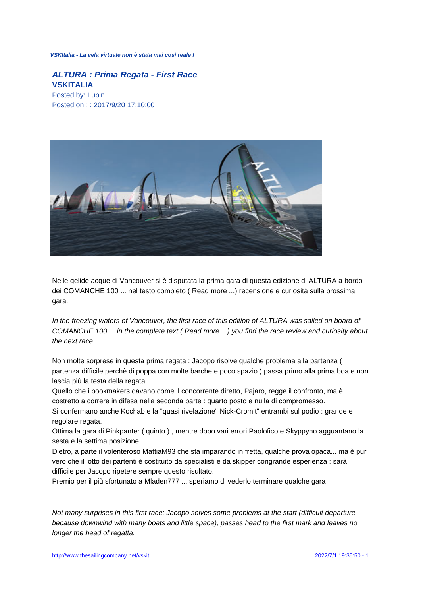## **ALTURA : Prima Regata - First Race VSKITALIA**

Posted by: Lupin Posted on : : 2017/9/20 17:10:00



Nelle gelide acque di Vancouver si è disputata la prima gara di questa edizione di ALTURA a bordo dei COMANCHE 100 ... nel testo completo ( Read more ...) recensione e curiosità sulla prossima gara.

In the freezing waters of Vancouver, the first race of this edition of ALTURA was sailed on board of COMANCHE 100 ... in the complete text ( Read more ...) you find the race review and curiosity about the next race.

Non molte sorprese in questa prima regata : Jacopo risolve qualche problema alla partenza ( partenza difficile perchè di poppa con molte barche e poco spazio ) passa primo alla prima boa e non lascia più la testa della regata.

Quello che i bookmakers davano come il concorrente diretto, Pajaro, regge il confronto, ma è costretto a correre in difesa nella seconda parte : quarto posto e nulla di compromesso.

Si confermano anche Kochab e la "quasi rivelazione" Nick-Cromit" entrambi sul podio : grande e regolare regata.

Ottima la gara di Pinkpanter ( quinto ) , mentre dopo vari errori Paolofico e Skyppyno agguantano la sesta e la settima posizione.

Dietro, a parte il volenteroso MattiaM93 che sta imparando in fretta, qualche prova opaca... ma è pur vero che il lotto dei partenti è costituito da specialisti e da skipper congrande esperienza : sarà difficile per Jacopo ripetere sempre questo risultato.

Premio per il più sfortunato a Mladen777 ... speriamo di vederlo terminare qualche gara

Not many surprises in this first race: Jacopo solves some problems at the start (difficult departure because downwind with many boats and little space), passes head to the first mark and leaves no longer the head of regatta.

http://www.thesailingcompany.net/vskit 2022/7/1 19:35:50 - 1